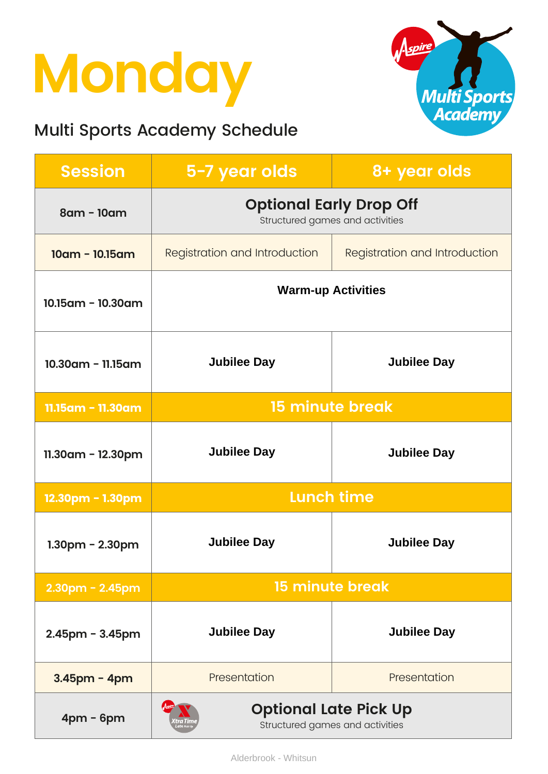### **Monday**

#### Multi Sports Academy Schedule



| <b>Session</b>        | 5-7 year olds                                                     | 8+ year olds                         |
|-----------------------|-------------------------------------------------------------------|--------------------------------------|
| 8am - 10am            | <b>Optional Early Drop Off</b><br>Structured games and activities |                                      |
| $10am - 10.15am$      | Registration and Introduction                                     | <b>Registration and Introduction</b> |
| 10.15am - 10.30am     | <b>Warm-up Activities</b>                                         |                                      |
| $10.30$ am - 11.15am  | <b>Jubilee Day</b>                                                | <b>Jubilee Day</b>                   |
| 11.15am - 11.30am     | <b>15 minute break</b>                                            |                                      |
| $11.30$ am - 12.30pm  | <b>Jubilee Day</b>                                                | <b>Jubilee Day</b>                   |
| 12.30pm - 1.30pm      | <b>Lunch time</b>                                                 |                                      |
| $1.30$ pm - $2.30$ pm | <b>Jubilee Day</b>                                                | <b>Jubilee Day</b>                   |
| $2.30$ pm - $2.45$ pm | <b>15 minute break</b>                                            |                                      |
| $2.45$ pm - $3.45$ pm | <b>Jubilee Day</b>                                                | <b>Jubilee Day</b>                   |
| $3.45$ pm - 4pm       | Presentation                                                      | Presentation                         |
| $4pm - 6pm$           | <b>Optional Late Pick Up</b><br>Structured games and activities   |                                      |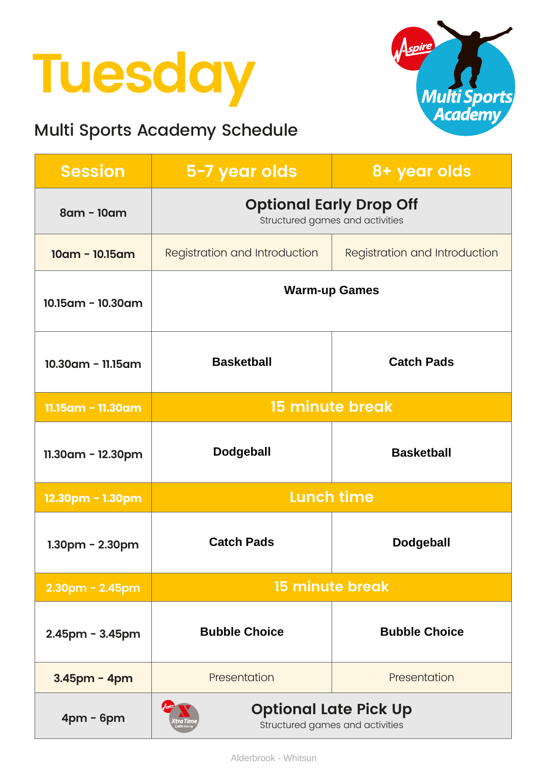# **Tuesday**

#### Multi Sports Academy Schedule



| <b>Session</b>          | 5-7 year olds                                                     | 8+ year olds                         |
|-------------------------|-------------------------------------------------------------------|--------------------------------------|
| $8$ am - 10am           | <b>Optional Early Drop Off</b><br>Structured games and activities |                                      |
| $10am - 10.15am$        | <b>Registration and Introduction</b>                              | <b>Registration and Introduction</b> |
| $10.15$ am - $10.30$ am | <b>Warm-up Games</b>                                              |                                      |
| 10.30am - 11.15am       | <b>Basketball</b>                                                 | <b>Catch Pads</b>                    |
| 11.15am - 11.30am       | <b>15 minute break</b>                                            |                                      |
| 11.30am - 12.30pm       | <b>Dodgeball</b>                                                  | <b>Basketball</b>                    |
| 12.30pm - 1.30pm        | <b>Lunch time</b>                                                 |                                      |
| $1.30pm - 2.30pm$       | <b>Catch Pads</b>                                                 | <b>Dodgeball</b>                     |
| $2.30$ pm - $2.45$ pm   | <b>15 minute break</b>                                            |                                      |
| $2.45$ pm - $3.45$ pm   | <b>Bubble Choice</b>                                              | <b>Bubble Choice</b>                 |
| $3.45$ pm - 4pm         | Presentation                                                      | Presentation                         |
| $4pm - 6pm$             | <b>Optional Late Pick Up</b><br>Structured games and activities   |                                      |